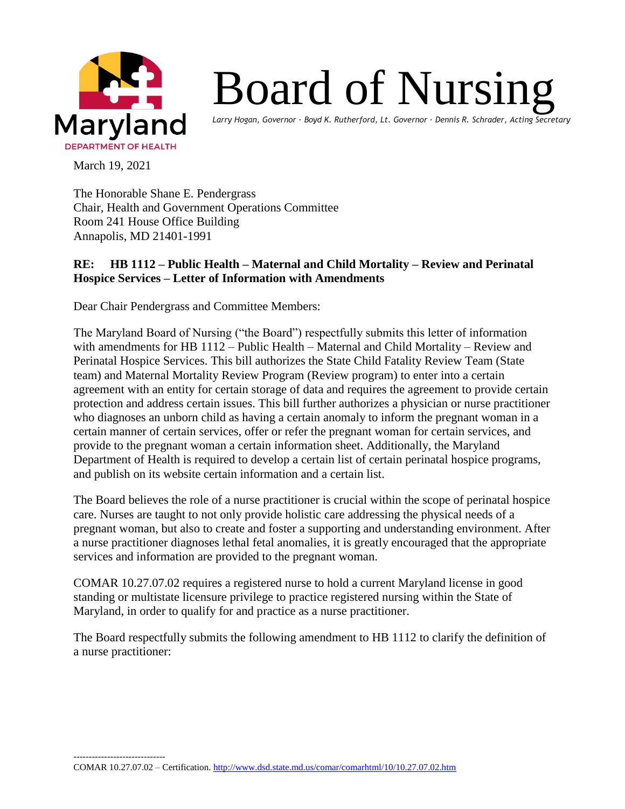

## Board of Nursing

*Larry Hogan, Governor ∙ Boyd K. Rutherford, Lt. Governor ∙ Dennis R. Schrader, Acting Secretary*

March 19, 2021

The Honorable Shane E. Pendergrass Chair, Health and Government Operations Committee Room 241 House Office Building Annapolis, MD 21401-1991

## **RE: HB 1112 – Public Health – Maternal and Child Mortality – Review and Perinatal Hospice Services – Letter of Information with Amendments**

Dear Chair Pendergrass and Committee Members:

The Maryland Board of Nursing ("the Board") respectfully submits this letter of information with amendments for HB 1112 – Public Health – Maternal and Child Mortality – Review and Perinatal Hospice Services. This bill authorizes the State Child Fatality Review Team (State team) and Maternal Mortality Review Program (Review program) to enter into a certain agreement with an entity for certain storage of data and requires the agreement to provide certain protection and address certain issues. This bill further authorizes a physician or nurse practitioner who diagnoses an unborn child as having a certain anomaly to inform the pregnant woman in a certain manner of certain services, offer or refer the pregnant woman for certain services, and provide to the pregnant woman a certain information sheet. Additionally, the Maryland Department of Health is required to develop a certain list of certain perinatal hospice programs, and publish on its website certain information and a certain list.

The Board believes the role of a nurse practitioner is crucial within the scope of perinatal hospice care. Nurses are taught to not only provide holistic care addressing the physical needs of a pregnant woman, but also to create and foster a supporting and understanding environment. After a nurse practitioner diagnoses lethal fetal anomalies, it is greatly encouraged that the appropriate services and information are provided to the pregnant woman.

COMAR 10.27.07.02 requires a registered nurse to hold a current Maryland license in good standing or multistate licensure privilege to practice registered nursing within the State of Maryland, in order to qualify for and practice as a nurse practitioner.

The Board respectfully submits the following amendment to HB 1112 to clarify the definition of a nurse practitioner: